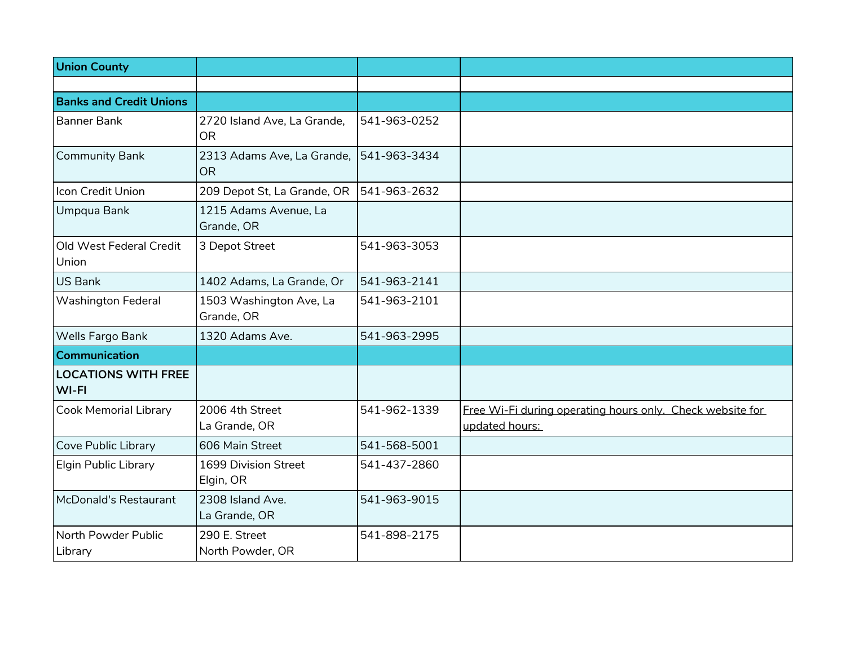| <b>Union County</b>                 |                                          |              |                                                                             |
|-------------------------------------|------------------------------------------|--------------|-----------------------------------------------------------------------------|
|                                     |                                          |              |                                                                             |
| <b>Banks and Credit Unions</b>      |                                          |              |                                                                             |
| <b>Banner Bank</b>                  | 2720 Island Ave, La Grande,<br><b>OR</b> | 541-963-0252 |                                                                             |
| <b>Community Bank</b>               | 2313 Adams Ave, La Grande,<br><b>OR</b>  | 541-963-3434 |                                                                             |
| Icon Credit Union                   | 209 Depot St, La Grande, OR              | 541-963-2632 |                                                                             |
| Umpqua Bank                         | 1215 Adams Avenue, La<br>Grande, OR      |              |                                                                             |
| Old West Federal Credit<br>Union    | 3 Depot Street                           | 541-963-3053 |                                                                             |
| <b>US Bank</b>                      | 1402 Adams, La Grande, Or                | 541-963-2141 |                                                                             |
| <b>Washington Federal</b>           | 1503 Washington Ave, La<br>Grande, OR    | 541-963-2101 |                                                                             |
| Wells Fargo Bank                    | 1320 Adams Ave.                          | 541-963-2995 |                                                                             |
| <b>Communication</b>                |                                          |              |                                                                             |
| <b>LOCATIONS WITH FREE</b><br>WI-FI |                                          |              |                                                                             |
| <b>Cook Memorial Library</b>        | 2006 4th Street<br>La Grande, OR         | 541-962-1339 | Free Wi-Fi during operating hours only. Check website for<br>updated hours: |
| Cove Public Library                 | 606 Main Street                          | 541-568-5001 |                                                                             |
| <b>Elgin Public Library</b>         | 1699 Division Street<br>Elgin, OR        | 541-437-2860 |                                                                             |
| McDonald's Restaurant               | 2308 Island Ave.<br>La Grande, OR        | 541-963-9015 |                                                                             |
| North Powder Public<br>Library      | 290 E. Street<br>North Powder, OR        | 541-898-2175 |                                                                             |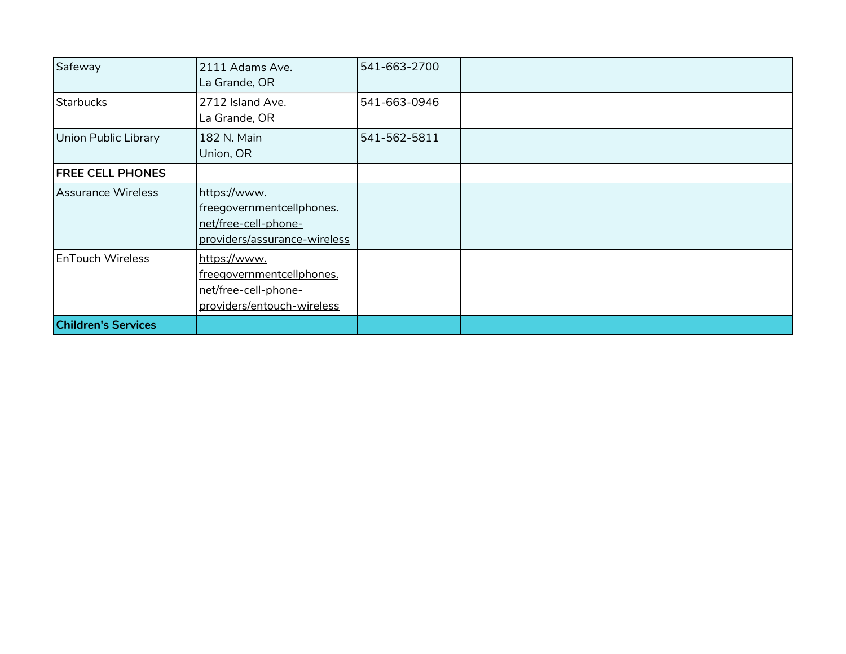| Safeway                    | 2111 Adams Ave.<br>La Grande, OR                                                                  | 541-663-2700 |  |
|----------------------------|---------------------------------------------------------------------------------------------------|--------------|--|
| <b>Starbucks</b>           | 2712 Island Ave.<br>La Grande, OR                                                                 | 541-663-0946 |  |
| Union Public Library       | 182 N. Main<br>Union, OR                                                                          | 541-562-5811 |  |
| <b>FREE CELL PHONES</b>    |                                                                                                   |              |  |
| Assurance Wireless         | https://www.<br>freegovernmentcellphones.<br>net/free-cell-phone-<br>providers/assurance-wireless |              |  |
| <b>EnTouch Wireless</b>    | https://www.<br>freegovernmentcellphones.<br>net/free-cell-phone-<br>providers/entouch-wireless   |              |  |
| <b>Children's Services</b> |                                                                                                   |              |  |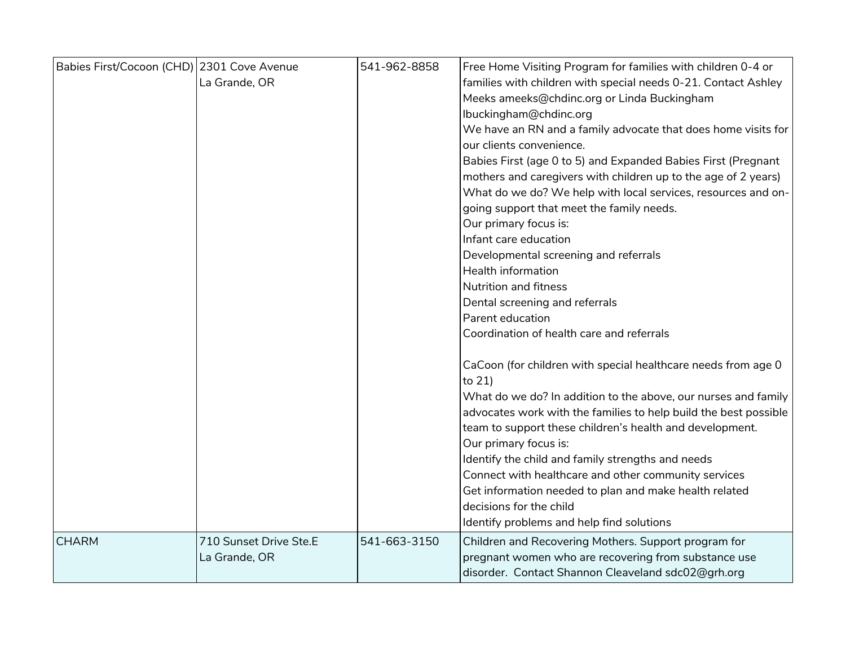| Babies First/Cocoon (CHD) 2301 Cove Avenue | La Grande, OR                           | 541-962-8858 | Free Home Visiting Program for families with children 0-4 or<br>families with children with special needs 0-21. Contact Ashley<br>Meeks ameeks@chdinc.org or Linda Buckingham<br>lbuckingham@chdinc.org<br>We have an RN and a family advocate that does home visits for<br>our clients convenience.<br>Babies First (age 0 to 5) and Expanded Babies First (Pregnant<br>mothers and caregivers with children up to the age of 2 years)<br>What do we do? We help with local services, resources and on-<br>going support that meet the family needs.<br>Our primary focus is:<br>Infant care education<br>Developmental screening and referrals<br><b>Health information</b><br><b>Nutrition and fitness</b><br>Dental screening and referrals<br>Parent education<br>Coordination of health care and referrals<br>CaCoon (for children with special healthcare needs from age 0<br>to 21)<br>What do we do? In addition to the above, our nurses and family<br>advocates work with the families to help build the best possible<br>team to support these children's health and development.<br>Our primary focus is:<br>Identify the child and family strengths and needs<br>Connect with healthcare and other community services<br>Get information needed to plan and make health related<br>decisions for the child<br>Identify problems and help find solutions |
|--------------------------------------------|-----------------------------------------|--------------|-----------------------------------------------------------------------------------------------------------------------------------------------------------------------------------------------------------------------------------------------------------------------------------------------------------------------------------------------------------------------------------------------------------------------------------------------------------------------------------------------------------------------------------------------------------------------------------------------------------------------------------------------------------------------------------------------------------------------------------------------------------------------------------------------------------------------------------------------------------------------------------------------------------------------------------------------------------------------------------------------------------------------------------------------------------------------------------------------------------------------------------------------------------------------------------------------------------------------------------------------------------------------------------------------------------------------------------------------------------------------|
| <b>CHARM</b>                               | 710 Sunset Drive Ste.E<br>La Grande, OR | 541-663-3150 | Children and Recovering Mothers. Support program for<br>pregnant women who are recovering from substance use<br>disorder. Contact Shannon Cleaveland sdc02@grh.org                                                                                                                                                                                                                                                                                                                                                                                                                                                                                                                                                                                                                                                                                                                                                                                                                                                                                                                                                                                                                                                                                                                                                                                                    |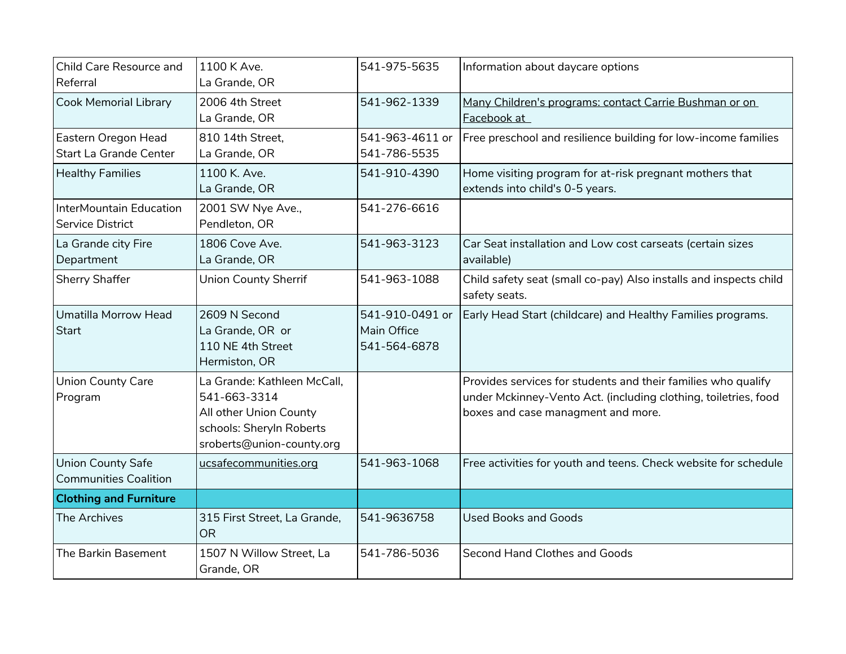| Child Care Resource and<br>Referral                      | 1100 K Ave.<br>La Grande, OR                                                                                                   | 541-975-5635                                   | Information about daycare options                                                                                                                                      |
|----------------------------------------------------------|--------------------------------------------------------------------------------------------------------------------------------|------------------------------------------------|------------------------------------------------------------------------------------------------------------------------------------------------------------------------|
| <b>Cook Memorial Library</b>                             | 2006 4th Street<br>La Grande, OR                                                                                               | 541-962-1339                                   | Many Children's programs: contact Carrie Bushman or on<br>Facebook at                                                                                                  |
| Eastern Oregon Head<br>Start La Grande Center            | 810 14th Street,<br>La Grande, OR                                                                                              | 541-963-4611 or<br>541-786-5535                | Free preschool and resilience building for low-income families                                                                                                         |
| <b>Healthy Families</b>                                  | 1100 K. Ave.<br>La Grande, OR                                                                                                  | 541-910-4390                                   | Home visiting program for at-risk pregnant mothers that<br>extends into child's 0-5 years.                                                                             |
| InterMountain Education<br><b>Service District</b>       | 2001 SW Nye Ave.,<br>Pendleton, OR                                                                                             | 541-276-6616                                   |                                                                                                                                                                        |
| La Grande city Fire<br>Department                        | 1806 Cove Ave.<br>La Grande, OR                                                                                                | 541-963-3123                                   | Car Seat installation and Low cost carseats (certain sizes<br>available)                                                                                               |
| Sherry Shaffer                                           | <b>Union County Sherrif</b>                                                                                                    | 541-963-1088                                   | Child safety seat (small co-pay) Also installs and inspects child<br>safety seats.                                                                                     |
| Umatilla Morrow Head<br>Start                            | 2609 N Second<br>La Grande, OR or<br>110 NE 4th Street<br>Hermiston, OR                                                        | 541-910-0491 or<br>Main Office<br>541-564-6878 | Early Head Start (childcare) and Healthy Families programs.                                                                                                            |
| <b>Union County Care</b><br>Program                      | La Grande: Kathleen McCall,<br>541-663-3314<br>All other Union County<br>schools: Sheryln Roberts<br>sroberts@union-county.org |                                                | Provides services for students and their families who qualify<br>under Mckinney-Vento Act. (including clothing, toiletries, food<br>boxes and case managment and more. |
| <b>Union County Safe</b><br><b>Communities Coalition</b> | ucsafecommunities.org                                                                                                          | 541-963-1068                                   | Free activities for youth and teens. Check website for schedule                                                                                                        |
| <b>Clothing and Furniture</b>                            |                                                                                                                                |                                                |                                                                                                                                                                        |
| The Archives                                             | 315 First Street, La Grande,<br><b>OR</b>                                                                                      | 541-9636758                                    | <b>Used Books and Goods</b>                                                                                                                                            |
| The Barkin Basement                                      | 1507 N Willow Street, La<br>Grande, OR                                                                                         | 541-786-5036                                   | Second Hand Clothes and Goods                                                                                                                                          |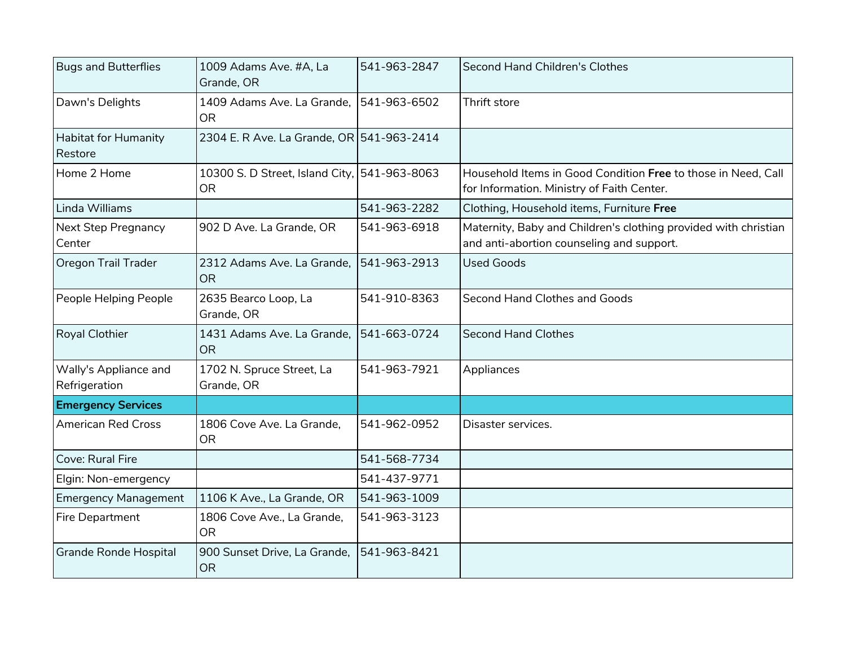| <b>Bugs and Butterflies</b>            | 1009 Adams Ave. #A, La<br>Grande, OR                      | 541-963-2847 | <b>Second Hand Children's Clothes</b>                                                                        |
|----------------------------------------|-----------------------------------------------------------|--------------|--------------------------------------------------------------------------------------------------------------|
| Dawn's Delights                        | 1409 Adams Ave. La Grande.<br><b>OR</b>                   | 541-963-6502 | Thrift store                                                                                                 |
| Habitat for Humanity<br>Restore        | 2304 E. R Ave. La Grande, OR 541-963-2414                 |              |                                                                                                              |
| Home 2 Home                            | 10300 S. D Street, Island City, 541-963-8063<br><b>OR</b> |              | Household Items in Good Condition Free to those in Need, Call<br>for Information. Ministry of Faith Center.  |
| Linda Williams                         |                                                           | 541-963-2282 | Clothing, Household items, Furniture Free                                                                    |
| <b>Next Step Pregnancy</b><br>Center   | 902 D Ave. La Grande, OR                                  | 541-963-6918 | Maternity, Baby and Children's clothing provided with christian<br>and anti-abortion counseling and support. |
| Oregon Trail Trader                    | 2312 Adams Ave. La Grande,<br><b>OR</b>                   | 541-963-2913 | <b>Used Goods</b>                                                                                            |
| People Helping People                  | 2635 Bearco Loop, La<br>Grande, OR                        | 541-910-8363 | Second Hand Clothes and Goods                                                                                |
| Royal Clothier                         | 1431 Adams Ave. La Grande,<br><b>OR</b>                   | 541-663-0724 | <b>Second Hand Clothes</b>                                                                                   |
| Wally's Appliance and<br>Refrigeration | 1702 N. Spruce Street, La<br>Grande, OR                   | 541-963-7921 | Appliances                                                                                                   |
| <b>Emergency Services</b>              |                                                           |              |                                                                                                              |
| <b>American Red Cross</b>              | 1806 Cove Ave. La Grande,<br><b>OR</b>                    | 541-962-0952 | Disaster services.                                                                                           |
| Cove: Rural Fire                       |                                                           | 541-568-7734 |                                                                                                              |
| Elgin: Non-emergency                   |                                                           | 541-437-9771 |                                                                                                              |
| <b>Emergency Management</b>            | 1106 K Ave., La Grande, OR                                | 541-963-1009 |                                                                                                              |
| Fire Department                        | 1806 Cove Ave., La Grande,<br><b>OR</b>                   | 541-963-3123 |                                                                                                              |
| <b>Grande Ronde Hospital</b>           | 900 Sunset Drive, La Grande,<br><b>OR</b>                 | 541-963-8421 |                                                                                                              |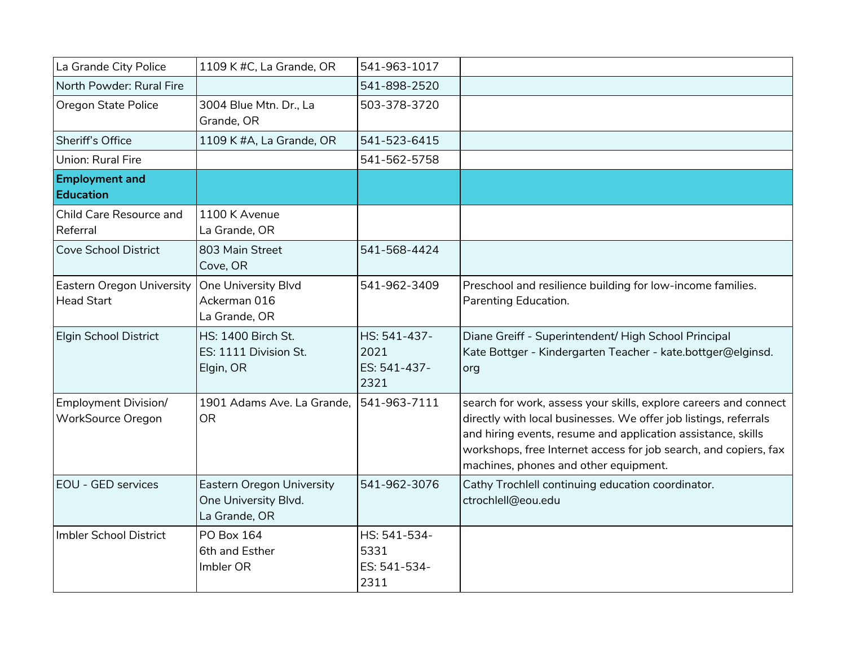| La Grande City Police                                 | 1109 K #C, La Grande, OR                                                  | 541-963-1017                                 |                                                                                                                                                                                                                                                                                                                   |
|-------------------------------------------------------|---------------------------------------------------------------------------|----------------------------------------------|-------------------------------------------------------------------------------------------------------------------------------------------------------------------------------------------------------------------------------------------------------------------------------------------------------------------|
| North Powder: Rural Fire                              |                                                                           | 541-898-2520                                 |                                                                                                                                                                                                                                                                                                                   |
| Oregon State Police                                   | 3004 Blue Mtn. Dr., La<br>Grande, OR                                      | 503-378-3720                                 |                                                                                                                                                                                                                                                                                                                   |
| Sheriff's Office                                      | 1109 K #A, La Grande, OR                                                  | 541-523-6415                                 |                                                                                                                                                                                                                                                                                                                   |
| Union: Rural Fire                                     |                                                                           | 541-562-5758                                 |                                                                                                                                                                                                                                                                                                                   |
| <b>Employment and</b><br><b>Education</b>             |                                                                           |                                              |                                                                                                                                                                                                                                                                                                                   |
| Child Care Resource and<br>Referral                   | 1100 K Avenue<br>La Grande, OR                                            |                                              |                                                                                                                                                                                                                                                                                                                   |
| <b>Cove School District</b>                           | 803 Main Street<br>Cove, OR                                               | 541-568-4424                                 |                                                                                                                                                                                                                                                                                                                   |
| <b>Eastern Oregon University</b><br><b>Head Start</b> | One University Blvd<br>Ackerman 016<br>La Grande, OR                      | 541-962-3409                                 | Preschool and resilience building for low-income families.<br>Parenting Education.                                                                                                                                                                                                                                |
| <b>Elgin School District</b>                          | HS: 1400 Birch St.<br>ES: 1111 Division St.<br>Elgin, OR                  | HS: 541-437-<br>2021<br>ES: 541-437-<br>2321 | Diane Greiff - Superintendent/ High School Principal<br>Kate Bottger - Kindergarten Teacher - kate.bottger@elginsd.<br>org                                                                                                                                                                                        |
| <b>Employment Division/</b><br>WorkSource Oregon      | 1901 Adams Ave. La Grande,<br><b>OR</b>                                   | 541-963-7111                                 | search for work, assess your skills, explore careers and connect<br>directly with local businesses. We offer job listings, referrals<br>and hiring events, resume and application assistance, skills<br>workshops, free Internet access for job search, and copiers, fax<br>machines, phones and other equipment. |
| EOU - GED services                                    | <b>Eastern Oregon University</b><br>One University Blvd.<br>La Grande, OR | 541-962-3076                                 | Cathy Trochlell continuing education coordinator.<br>ctrochlell@eou.edu                                                                                                                                                                                                                                           |
| Imbler School District                                | <b>PO Box 164</b><br>6th and Esther<br>Imbler OR                          | HS: 541-534-<br>5331<br>ES: 541-534-<br>2311 |                                                                                                                                                                                                                                                                                                                   |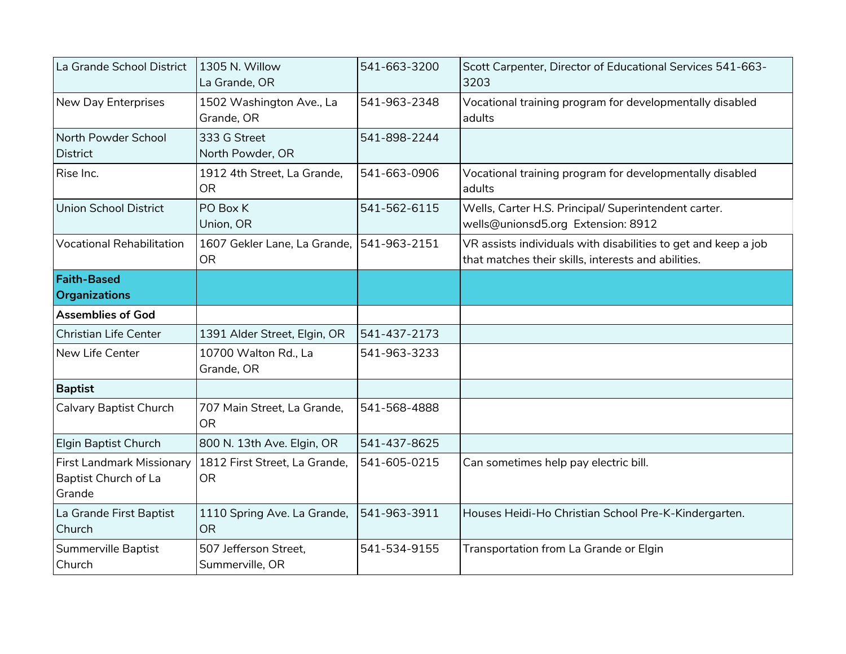| La Grande School District                                   | 1305 N. Willow<br>La Grande, OR            | 541-663-3200 | Scott Carpenter, Director of Educational Services 541-663-<br>3203                                                    |
|-------------------------------------------------------------|--------------------------------------------|--------------|-----------------------------------------------------------------------------------------------------------------------|
| New Day Enterprises                                         | 1502 Washington Ave., La<br>Grande, OR     | 541-963-2348 | Vocational training program for developmentally disabled<br>adults                                                    |
| North Powder School<br><b>District</b>                      | 333 G Street<br>North Powder, OR           | 541-898-2244 |                                                                                                                       |
| Rise Inc.                                                   | 1912 4th Street, La Grande,<br><b>OR</b>   | 541-663-0906 | Vocational training program for developmentally disabled<br>adults                                                    |
| <b>Union School District</b>                                | PO Box K<br>Union, OR                      | 541-562-6115 | Wells, Carter H.S. Principal/ Superintendent carter.<br>wells@unionsd5.org Extension: 8912                            |
| <b>Vocational Rehabilitation</b>                            | 1607 Gekler Lane, La Grande,<br><b>OR</b>  | 541-963-2151 | VR assists individuals with disabilities to get and keep a job<br>that matches their skills, interests and abilities. |
| <b>Faith-Based</b><br><b>Organizations</b>                  |                                            |              |                                                                                                                       |
| <b>Assemblies of God</b>                                    |                                            |              |                                                                                                                       |
| <b>Christian Life Center</b>                                | 1391 Alder Street, Elgin, OR               | 541-437-2173 |                                                                                                                       |
| New Life Center                                             | 10700 Walton Rd., La<br>Grande, OR         | 541-963-3233 |                                                                                                                       |
| <b>Baptist</b>                                              |                                            |              |                                                                                                                       |
| Calvary Baptist Church                                      | 707 Main Street, La Grande,<br><b>OR</b>   | 541-568-4888 |                                                                                                                       |
| Elgin Baptist Church                                        | 800 N. 13th Ave. Elgin, OR                 | 541-437-8625 |                                                                                                                       |
| First Landmark Missionary<br>Baptist Church of La<br>Grande | 1812 First Street, La Grande,<br><b>OR</b> | 541-605-0215 | Can sometimes help pay electric bill.                                                                                 |
| La Grande First Baptist<br>Church                           | 1110 Spring Ave. La Grande,<br><b>OR</b>   | 541-963-3911 | Houses Heidi-Ho Christian School Pre-K-Kindergarten.                                                                  |
| Summerville Baptist<br>Church                               | 507 Jefferson Street,<br>Summerville, OR   | 541-534-9155 | Transportation from La Grande or Elgin                                                                                |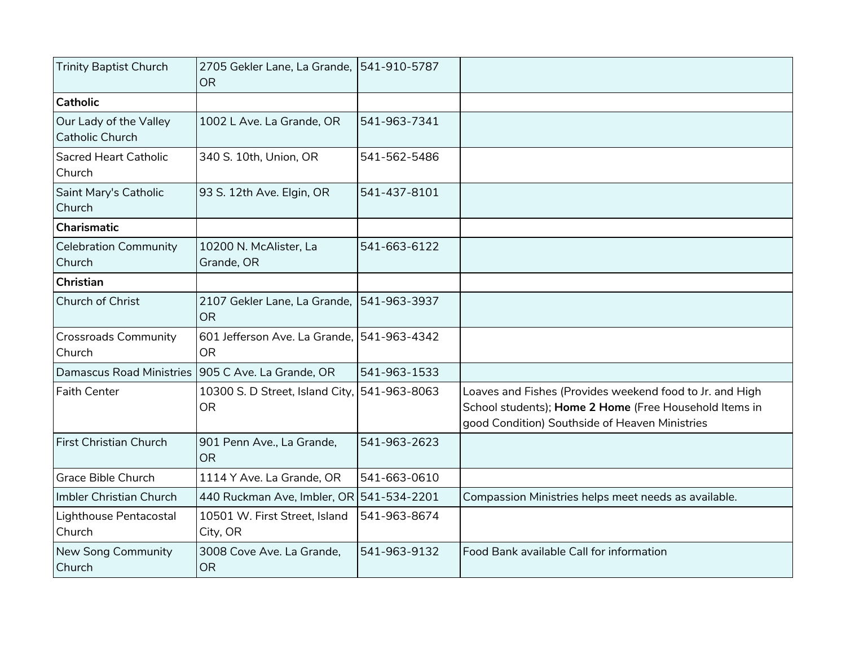| <b>Trinity Baptist Church</b>                    | 2705 Gekler Lane, La Grande,   541-910-5787<br><b>OR</b>  |              |                                                                                                                                                                      |
|--------------------------------------------------|-----------------------------------------------------------|--------------|----------------------------------------------------------------------------------------------------------------------------------------------------------------------|
| <b>Catholic</b>                                  |                                                           |              |                                                                                                                                                                      |
| Our Lady of the Valley<br><b>Catholic Church</b> | 1002 L Ave. La Grande, OR                                 | 541-963-7341 |                                                                                                                                                                      |
| <b>Sacred Heart Catholic</b><br>Church           | 340 S. 10th, Union, OR                                    | 541-562-5486 |                                                                                                                                                                      |
| Saint Mary's Catholic<br>Church                  | 93 S. 12th Ave. Elgin, OR                                 | 541-437-8101 |                                                                                                                                                                      |
| Charismatic                                      |                                                           |              |                                                                                                                                                                      |
| <b>Celebration Community</b><br>Church           | 10200 N. McAlister, La<br>Grande, OR                      | 541-663-6122 |                                                                                                                                                                      |
| Christian                                        |                                                           |              |                                                                                                                                                                      |
| Church of Christ                                 | 2107 Gekler Lane, La Grande, 541-963-3937<br><b>OR</b>    |              |                                                                                                                                                                      |
| <b>Crossroads Community</b><br>Church            | 601 Jefferson Ave. La Grande. 541-963-4342<br><b>OR</b>   |              |                                                                                                                                                                      |
| <b>Damascus Road Ministries</b>                  | 905 C Ave. La Grande, OR                                  | 541-963-1533 |                                                                                                                                                                      |
| <b>Faith Center</b>                              | 10300 S. D Street, Island City, 541-963-8063<br><b>OR</b> |              | Loaves and Fishes (Provides weekend food to Jr. and High<br>School students); Home 2 Home (Free Household Items in<br>good Condition) Southside of Heaven Ministries |
| First Christian Church                           | 901 Penn Ave., La Grande,<br><b>OR</b>                    | 541-963-2623 |                                                                                                                                                                      |
| Grace Bible Church                               | 1114 Y Ave. La Grande, OR                                 | 541-663-0610 |                                                                                                                                                                      |
| Imbler Christian Church                          | 440 Ruckman Ave, Imbler, OR 541-534-2201                  |              | Compassion Ministries helps meet needs as available.                                                                                                                 |
| Lighthouse Pentacostal<br>Church                 | 10501 W. First Street, Island<br>City, OR                 | 541-963-8674 |                                                                                                                                                                      |
| New Song Community<br>Church                     | 3008 Cove Ave. La Grande,<br><b>OR</b>                    | 541-963-9132 | Food Bank available Call for information                                                                                                                             |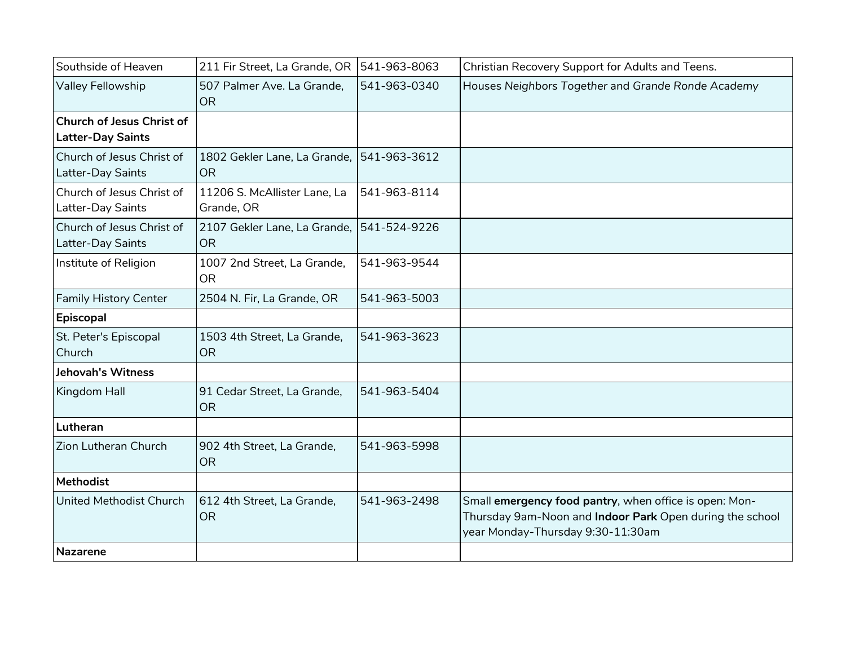| Southside of Heaven                                          | 211 Fir Street, La Grande, OR                          | 541-963-8063 | Christian Recovery Support for Adults and Teens.                                                                                                        |
|--------------------------------------------------------------|--------------------------------------------------------|--------------|---------------------------------------------------------------------------------------------------------------------------------------------------------|
| Valley Fellowship                                            | 507 Palmer Ave. La Grande,<br><b>OR</b>                | 541-963-0340 | Houses Neighbors Together and Grande Ronde Academy                                                                                                      |
| <b>Church of Jesus Christ of</b><br><b>Latter-Day Saints</b> |                                                        |              |                                                                                                                                                         |
| Church of Jesus Christ of<br>Latter-Day Saints               | 1802 Gekler Lane, La Grande, 541-963-3612<br><b>OR</b> |              |                                                                                                                                                         |
| Church of Jesus Christ of<br>Latter-Day Saints               | 11206 S. McAllister Lane, La<br>Grande, OR             | 541-963-8114 |                                                                                                                                                         |
| Church of Jesus Christ of<br>Latter-Day Saints               | 2107 Gekler Lane, La Grande, 541-524-9226<br><b>OR</b> |              |                                                                                                                                                         |
| Institute of Religion                                        | 1007 2nd Street, La Grande,<br><b>OR</b>               | 541-963-9544 |                                                                                                                                                         |
| <b>Family History Center</b>                                 | 2504 N. Fir, La Grande, OR                             | 541-963-5003 |                                                                                                                                                         |
| Episcopal                                                    |                                                        |              |                                                                                                                                                         |
| St. Peter's Episcopal<br>Church                              | 1503 4th Street, La Grande,<br><b>OR</b>               | 541-963-3623 |                                                                                                                                                         |
| <b>Jehovah's Witness</b>                                     |                                                        |              |                                                                                                                                                         |
| Kingdom Hall                                                 | 91 Cedar Street, La Grande,<br><b>OR</b>               | 541-963-5404 |                                                                                                                                                         |
| Lutheran                                                     |                                                        |              |                                                                                                                                                         |
| Zion Lutheran Church                                         | 902 4th Street, La Grande,<br><b>OR</b>                | 541-963-5998 |                                                                                                                                                         |
| <b>Methodist</b>                                             |                                                        |              |                                                                                                                                                         |
| <b>United Methodist Church</b>                               | 612 4th Street, La Grande,<br><b>OR</b>                | 541-963-2498 | Small emergency food pantry, when office is open: Mon-<br>Thursday 9am-Noon and Indoor Park Open during the school<br>year Monday-Thursday 9:30-11:30am |
| <b>Nazarene</b>                                              |                                                        |              |                                                                                                                                                         |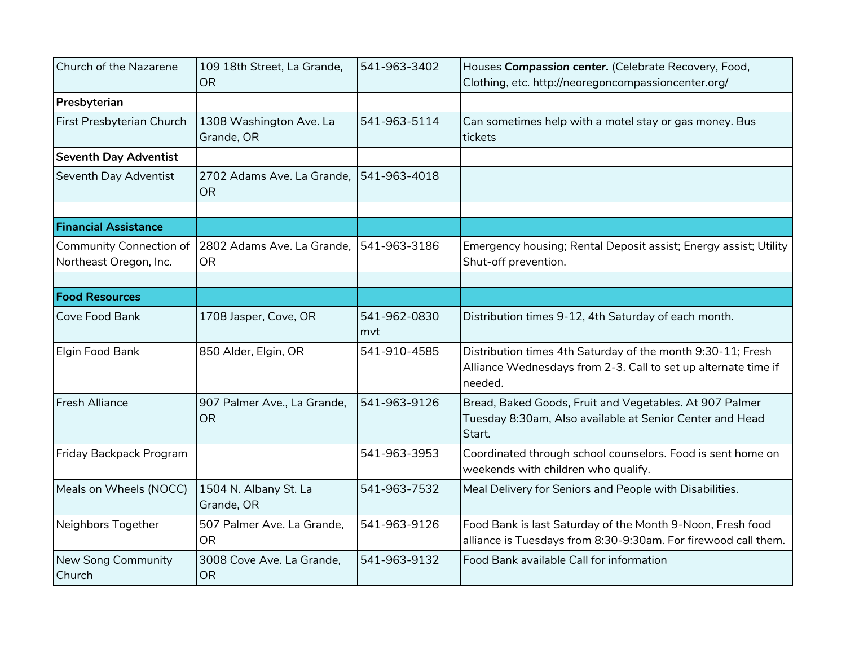| Church of the Nazarene                                   | 109 18th Street, La Grande,<br><b>OR</b> | 541-963-3402        | Houses Compassion center. (Celebrate Recovery, Food,<br>Clothing, etc. http://neoregoncompassioncenter.org/                              |
|----------------------------------------------------------|------------------------------------------|---------------------|------------------------------------------------------------------------------------------------------------------------------------------|
| Presbyterian                                             |                                          |                     |                                                                                                                                          |
| First Presbyterian Church                                | 1308 Washington Ave. La<br>Grande, OR    | 541-963-5114        | Can sometimes help with a motel stay or gas money. Bus<br>tickets                                                                        |
| <b>Seventh Day Adventist</b>                             |                                          |                     |                                                                                                                                          |
| Seventh Day Adventist                                    | 2702 Adams Ave. La Grande,<br><b>OR</b>  | 541-963-4018        |                                                                                                                                          |
|                                                          |                                          |                     |                                                                                                                                          |
| <b>Financial Assistance</b>                              |                                          |                     |                                                                                                                                          |
| <b>Community Connection of</b><br>Northeast Oregon, Inc. | 2802 Adams Ave. La Grande,<br><b>OR</b>  | 541-963-3186        | Emergency housing; Rental Deposit assist; Energy assist; Utility<br>Shut-off prevention.                                                 |
|                                                          |                                          |                     |                                                                                                                                          |
| <b>Food Resources</b>                                    |                                          |                     |                                                                                                                                          |
| Cove Food Bank                                           | 1708 Jasper, Cove, OR                    | 541-962-0830<br>mvt | Distribution times 9-12, 4th Saturday of each month.                                                                                     |
| Elgin Food Bank                                          | 850 Alder, Elgin, OR                     | 541-910-4585        | Distribution times 4th Saturday of the month 9:30-11; Fresh<br>Alliance Wednesdays from 2-3. Call to set up alternate time if<br>needed. |
| <b>Fresh Alliance</b>                                    | 907 Palmer Ave., La Grande,<br><b>OR</b> | 541-963-9126        | Bread, Baked Goods, Fruit and Vegetables. At 907 Palmer<br>Tuesday 8:30am, Also available at Senior Center and Head<br>Start.            |
| Friday Backpack Program                                  |                                          | 541-963-3953        | Coordinated through school counselors. Food is sent home on<br>weekends with children who qualify.                                       |
| Meals on Wheels (NOCC)                                   | 1504 N. Albany St. La<br>Grande, OR      | 541-963-7532        | Meal Delivery for Seniors and People with Disabilities.                                                                                  |
| Neighbors Together                                       | 507 Palmer Ave. La Grande,<br><b>OR</b>  | 541-963-9126        | Food Bank is last Saturday of the Month 9-Noon, Fresh food<br>alliance is Tuesdays from 8:30-9:30am. For firewood call them.             |
| New Song Community<br>Church                             | 3008 Cove Ave. La Grande,<br><b>OR</b>   | 541-963-9132        | Food Bank available Call for information                                                                                                 |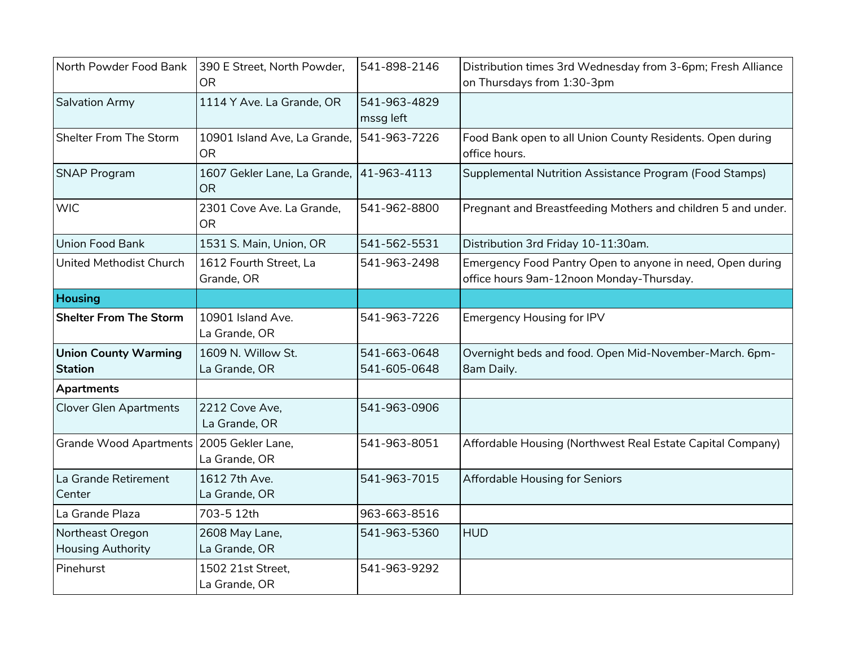| North Powder Food Bank                        | 390 E Street, North Powder,<br><b>OR</b>  | 541-898-2146                 | Distribution times 3rd Wednesday from 3-6pm; Fresh Alliance<br>on Thursdays from 1:30-3pm             |
|-----------------------------------------------|-------------------------------------------|------------------------------|-------------------------------------------------------------------------------------------------------|
| Salvation Army                                | 1114 Y Ave. La Grande, OR                 | 541-963-4829<br>mssg left    |                                                                                                       |
| Shelter From The Storm                        | 10901 Island Ave, La Grande,<br><b>OR</b> | 541-963-7226                 | Food Bank open to all Union County Residents. Open during<br>office hours.                            |
| <b>SNAP Program</b>                           | 1607 Gekler Lane, La Grande,<br><b>OR</b> | 41-963-4113                  | Supplemental Nutrition Assistance Program (Food Stamps)                                               |
| <b>WIC</b>                                    | 2301 Cove Ave. La Grande,<br><b>OR</b>    | 541-962-8800                 | Pregnant and Breastfeeding Mothers and children 5 and under.                                          |
| Union Food Bank                               | 1531 S. Main, Union, OR                   | 541-562-5531                 | Distribution 3rd Friday 10-11:30am.                                                                   |
| United Methodist Church                       | 1612 Fourth Street, La<br>Grande, OR      | 541-963-2498                 | Emergency Food Pantry Open to anyone in need, Open during<br>office hours 9am-12noon Monday-Thursday. |
| <b>Housing</b>                                |                                           |                              |                                                                                                       |
| <b>Shelter From The Storm</b>                 | 10901 Island Ave.<br>La Grande, OR        | 541-963-7226                 | <b>Emergency Housing for IPV</b>                                                                      |
| <b>Union County Warming</b><br><b>Station</b> | 1609 N. Willow St.<br>La Grande, OR       | 541-663-0648<br>541-605-0648 | Overnight beds and food. Open Mid-November-March. 6pm-<br>8am Daily.                                  |
| <b>Apartments</b>                             |                                           |                              |                                                                                                       |
| <b>Clover Glen Apartments</b>                 | 2212 Cove Ave,<br>La Grande, OR           | 541-963-0906                 |                                                                                                       |
| <b>Grande Wood Apartments</b>                 | 2005 Gekler Lane,<br>La Grande, OR        | 541-963-8051                 | Affordable Housing (Northwest Real Estate Capital Company)                                            |
| La Grande Retirement<br>Center                | 1612 7th Ave.<br>La Grande, OR            | 541-963-7015                 | Affordable Housing for Seniors                                                                        |
| La Grande Plaza                               | 703-5 12th                                | 963-663-8516                 |                                                                                                       |
| Northeast Oregon<br><b>Housing Authority</b>  | 2608 May Lane,<br>La Grande, OR           | 541-963-5360                 | <b>HUD</b>                                                                                            |
| Pinehurst                                     | 1502 21st Street,<br>La Grande, OR        | 541-963-9292                 |                                                                                                       |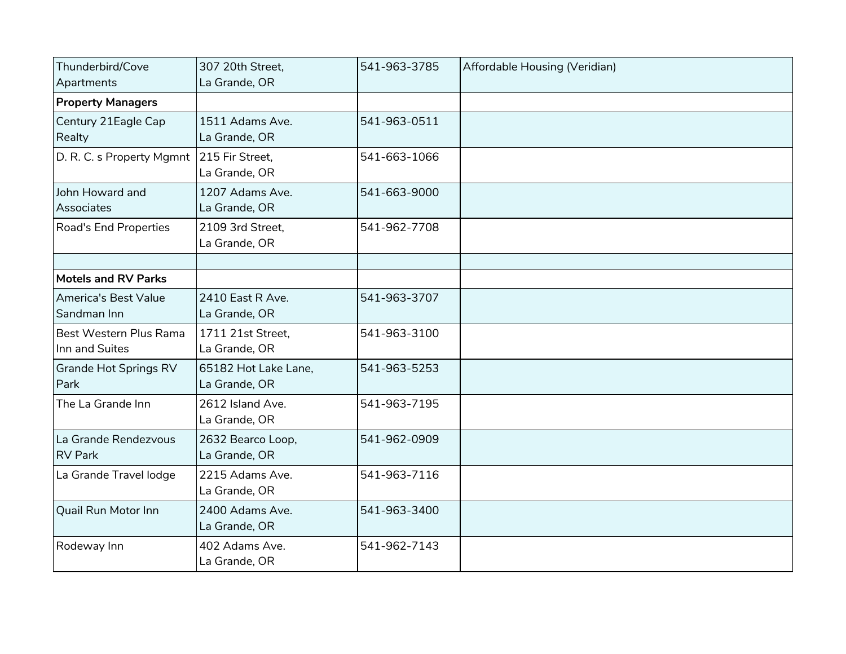| Thunderbird/Cove<br>Apartments             | 307 20th Street,<br>La Grande, OR     | 541-963-3785 | Affordable Housing (Veridian) |
|--------------------------------------------|---------------------------------------|--------------|-------------------------------|
| <b>Property Managers</b>                   |                                       |              |                               |
| Century 21Eagle Cap<br>Realty              | 1511 Adams Ave.<br>La Grande, OR      | 541-963-0511 |                               |
| D. R. C. s Property Mgmnt                  | 215 Fir Street,<br>La Grande, OR      | 541-663-1066 |                               |
| John Howard and<br><b>Associates</b>       | 1207 Adams Ave.<br>La Grande, OR      | 541-663-9000 |                               |
| Road's End Properties                      | 2109 3rd Street,<br>La Grande, OR     | 541-962-7708 |                               |
|                                            |                                       |              |                               |
| <b>Motels and RV Parks</b>                 |                                       |              |                               |
| <b>America's Best Value</b><br>Sandman Inn | 2410 East R Ave.<br>La Grande, OR     | 541-963-3707 |                               |
| Best Western Plus Rama<br>Inn and Suites   | 1711 21st Street,<br>La Grande, OR    | 541-963-3100 |                               |
| <b>Grande Hot Springs RV</b><br>Park       | 65182 Hot Lake Lane,<br>La Grande, OR | 541-963-5253 |                               |
| The La Grande Inn                          | 2612 Island Ave.<br>La Grande, OR     | 541-963-7195 |                               |
| La Grande Rendezvous<br><b>RV Park</b>     | 2632 Bearco Loop,<br>La Grande, OR    | 541-962-0909 |                               |
| La Grande Travel lodge                     | 2215 Adams Ave.<br>La Grande, OR      | 541-963-7116 |                               |
| Quail Run Motor Inn                        | 2400 Adams Ave.<br>La Grande, OR      | 541-963-3400 |                               |
| Rodeway Inn                                | 402 Adams Ave.<br>La Grande, OR       | 541-962-7143 |                               |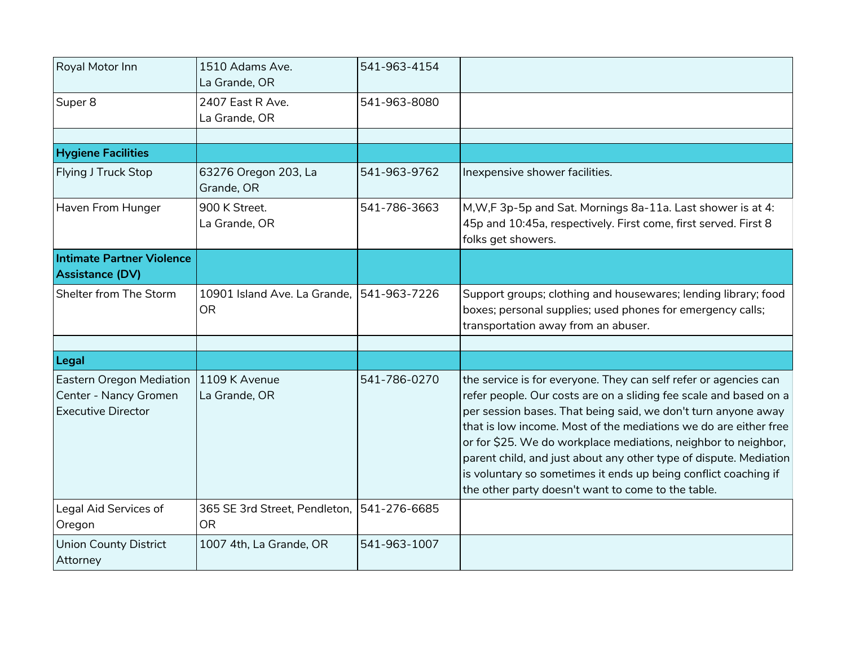| Royal Motor Inn                                                                       | 1510 Adams Ave.<br>La Grande, OR          | 541-963-4154 |                                                                                                                                                                                                                                                                                                                                                                                                                                                                                                                                            |
|---------------------------------------------------------------------------------------|-------------------------------------------|--------------|--------------------------------------------------------------------------------------------------------------------------------------------------------------------------------------------------------------------------------------------------------------------------------------------------------------------------------------------------------------------------------------------------------------------------------------------------------------------------------------------------------------------------------------------|
| Super 8                                                                               | 2407 East R Ave.<br>La Grande, OR         | 541-963-8080 |                                                                                                                                                                                                                                                                                                                                                                                                                                                                                                                                            |
|                                                                                       |                                           |              |                                                                                                                                                                                                                                                                                                                                                                                                                                                                                                                                            |
| <b>Hygiene Facilities</b>                                                             |                                           |              |                                                                                                                                                                                                                                                                                                                                                                                                                                                                                                                                            |
| Flying J Truck Stop                                                                   | 63276 Oregon 203, La<br>Grande, OR        | 541-963-9762 | Inexpensive shower facilities.                                                                                                                                                                                                                                                                                                                                                                                                                                                                                                             |
| Haven From Hunger                                                                     | 900 K Street.<br>La Grande, OR            | 541-786-3663 | M, W, F 3p-5p and Sat. Mornings 8a-11a. Last shower is at 4:<br>45p and 10:45a, respectively. First come, first served. First 8<br>folks get showers.                                                                                                                                                                                                                                                                                                                                                                                      |
| <b>Intimate Partner Violence</b>                                                      |                                           |              |                                                                                                                                                                                                                                                                                                                                                                                                                                                                                                                                            |
| Assistance (DV)                                                                       |                                           |              |                                                                                                                                                                                                                                                                                                                                                                                                                                                                                                                                            |
| Shelter from The Storm                                                                | 10901 Island Ave. La Grande,<br><b>OR</b> | 541-963-7226 | Support groups; clothing and housewares; lending library; food<br>boxes; personal supplies; used phones for emergency calls;<br>transportation away from an abuser.                                                                                                                                                                                                                                                                                                                                                                        |
|                                                                                       |                                           |              |                                                                                                                                                                                                                                                                                                                                                                                                                                                                                                                                            |
| Legal                                                                                 |                                           |              |                                                                                                                                                                                                                                                                                                                                                                                                                                                                                                                                            |
| <b>Eastern Oregon Mediation</b><br>Center - Nancy Gromen<br><b>Executive Director</b> | 1109 K Avenue<br>La Grande, OR            | 541-786-0270 | the service is for everyone. They can self refer or agencies can<br>refer people. Our costs are on a sliding fee scale and based on a<br>per session bases. That being said, we don't turn anyone away<br>that is low income. Most of the mediations we do are either free<br>or for \$25. We do workplace mediations, neighbor to neighbor,<br>parent child, and just about any other type of dispute. Mediation<br>is voluntary so sometimes it ends up being conflict coaching if<br>the other party doesn't want to come to the table. |
| Legal Aid Services of                                                                 | 365 SE 3rd Street, Pendleton,             | 541-276-6685 |                                                                                                                                                                                                                                                                                                                                                                                                                                                                                                                                            |
| Oregon                                                                                | <b>OR</b>                                 |              |                                                                                                                                                                                                                                                                                                                                                                                                                                                                                                                                            |
| <b>Union County District</b><br>Attorney                                              | 1007 4th, La Grande, OR                   | 541-963-1007 |                                                                                                                                                                                                                                                                                                                                                                                                                                                                                                                                            |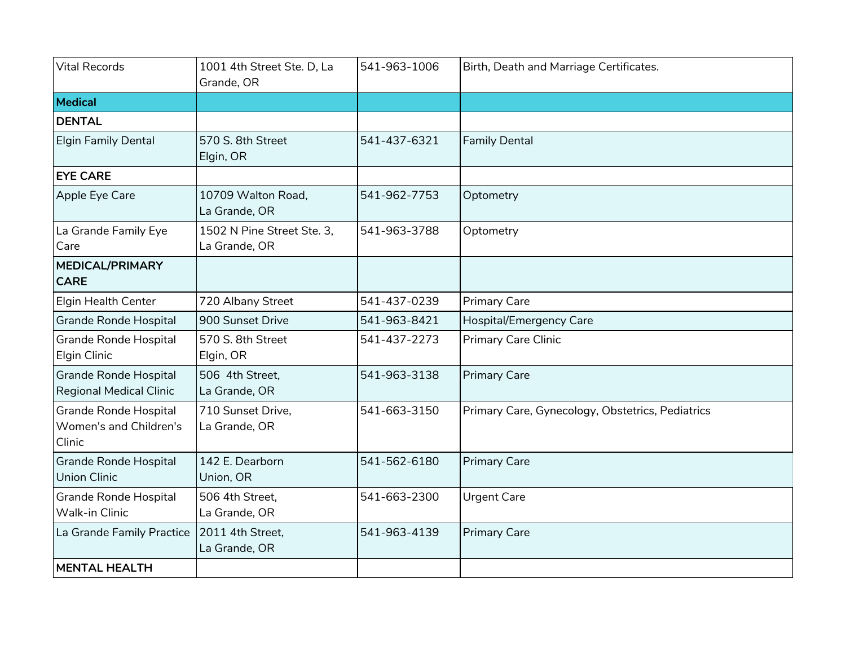| <b>Vital Records</b>                                      | 1001 4th Street Ste. D, La<br>Grande, OR    | 541-963-1006 | Birth, Death and Marriage Certificates.          |
|-----------------------------------------------------------|---------------------------------------------|--------------|--------------------------------------------------|
| Medical                                                   |                                             |              |                                                  |
| <b>DENTAL</b>                                             |                                             |              |                                                  |
| <b>Elgin Family Dental</b>                                | 570 S. 8th Street<br>Elgin, OR              | 541-437-6321 | <b>Family Dental</b>                             |
| <b>EYE CARE</b>                                           |                                             |              |                                                  |
| Apple Eye Care                                            | 10709 Walton Road,<br>La Grande, OR         | 541-962-7753 | Optometry                                        |
| La Grande Family Eye<br>Care                              | 1502 N Pine Street Ste. 3,<br>La Grande, OR | 541-963-3788 | Optometry                                        |
| <b>MEDICAL/PRIMARY</b><br><b>CARE</b>                     |                                             |              |                                                  |
| <b>Elgin Health Center</b>                                | 720 Albany Street                           | 541-437-0239 | <b>Primary Care</b>                              |
| Grande Ronde Hospital                                     | 900 Sunset Drive                            | 541-963-8421 | Hospital/Emergency Care                          |
| <b>Grande Ronde Hospital</b><br>Elgin Clinic              | 570 S. 8th Street<br>Elgin, OR              | 541-437-2273 | Primary Care Clinic                              |
| Grande Ronde Hospital<br><b>Regional Medical Clinic</b>   | 506 4th Street,<br>La Grande, OR            | 541-963-3138 | <b>Primary Care</b>                              |
| Grande Ronde Hospital<br>Women's and Children's<br>Clinic | 710 Sunset Drive,<br>La Grande, OR          | 541-663-3150 | Primary Care, Gynecology, Obstetrics, Pediatrics |
| Grande Ronde Hospital<br><b>Union Clinic</b>              | 142 E. Dearborn<br>Union, OR                | 541-562-6180 | <b>Primary Care</b>                              |
| Grande Ronde Hospital<br>Walk-in Clinic                   | 506 4th Street,<br>La Grande, OR            | 541-663-2300 | <b>Urgent Care</b>                               |
| La Grande Family Practice                                 | 2011 4th Street,<br>La Grande, OR           | 541-963-4139 | <b>Primary Care</b>                              |
| <b>MENTAL HEALTH</b>                                      |                                             |              |                                                  |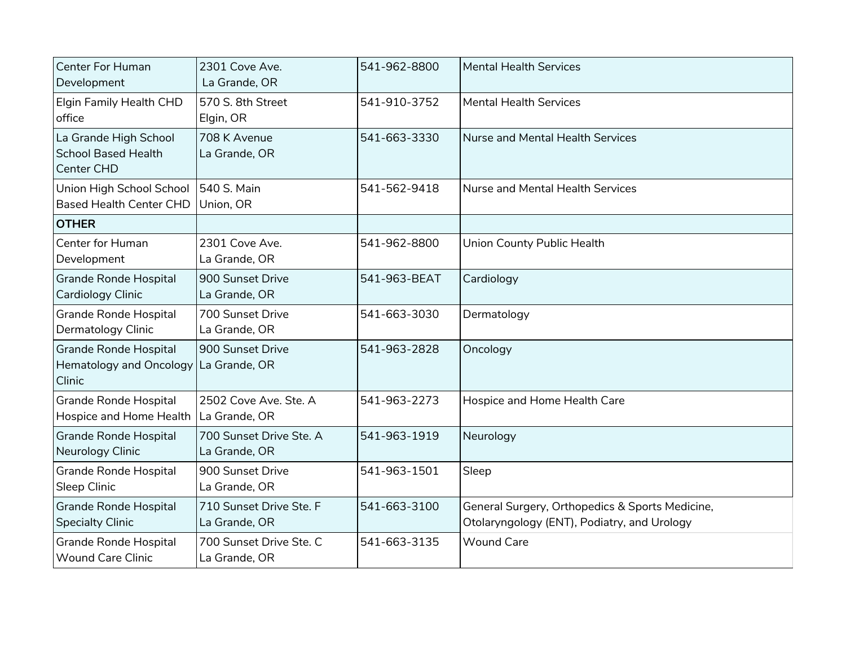| <b>Center For Human</b><br>Development                                   | 2301 Cove Ave.<br>La Grande, OR          | 541-962-8800 | <b>Mental Health Services</b>                                                                  |
|--------------------------------------------------------------------------|------------------------------------------|--------------|------------------------------------------------------------------------------------------------|
| Elgin Family Health CHD<br>office                                        | 570 S. 8th Street<br>Elgin, OR           | 541-910-3752 | <b>Mental Health Services</b>                                                                  |
| La Grande High School<br><b>School Based Health</b><br>Center CHD        | 708 K Avenue<br>La Grande, OR            | 541-663-3330 | <b>Nurse and Mental Health Services</b>                                                        |
| Union High School School<br><b>Based Health Center CHD</b>               | 540 S. Main<br>Union, OR                 | 541-562-9418 | Nurse and Mental Health Services                                                               |
| <b>OTHER</b>                                                             |                                          |              |                                                                                                |
| Center for Human<br>Development                                          | 2301 Cove Ave.<br>La Grande, OR          | 541-962-8800 | Union County Public Health                                                                     |
| <b>Grande Ronde Hospital</b><br>Cardiology Clinic                        | 900 Sunset Drive<br>La Grande, OR        | 541-963-BEAT | Cardiology                                                                                     |
| <b>Grande Ronde Hospital</b><br>Dermatology Clinic                       | 700 Sunset Drive<br>La Grande, OR        | 541-663-3030 | Dermatology                                                                                    |
| <b>Grande Ronde Hospital</b><br><b>Hematology and Oncology</b><br>Clinic | 900 Sunset Drive<br>La Grande, OR        | 541-963-2828 | Oncology                                                                                       |
| <b>Grande Ronde Hospital</b><br>Hospice and Home Health                  | 2502 Cove Ave. Ste. A<br>La Grande, OR   | 541-963-2273 | Hospice and Home Health Care                                                                   |
| <b>Grande Ronde Hospital</b><br>Neurology Clinic                         | 700 Sunset Drive Ste. A<br>La Grande, OR | 541-963-1919 | Neurology                                                                                      |
| <b>Grande Ronde Hospital</b><br>Sleep Clinic                             | 900 Sunset Drive<br>La Grande, OR        | 541-963-1501 | Sleep                                                                                          |
| <b>Grande Ronde Hospital</b><br><b>Specialty Clinic</b>                  | 710 Sunset Drive Ste. F<br>La Grande, OR | 541-663-3100 | General Surgery, Orthopedics & Sports Medicine,<br>Otolaryngology (ENT), Podiatry, and Urology |
| <b>Grande Ronde Hospital</b><br><b>Wound Care Clinic</b>                 | 700 Sunset Drive Ste. C<br>La Grande, OR | 541-663-3135 | <b>Wound Care</b>                                                                              |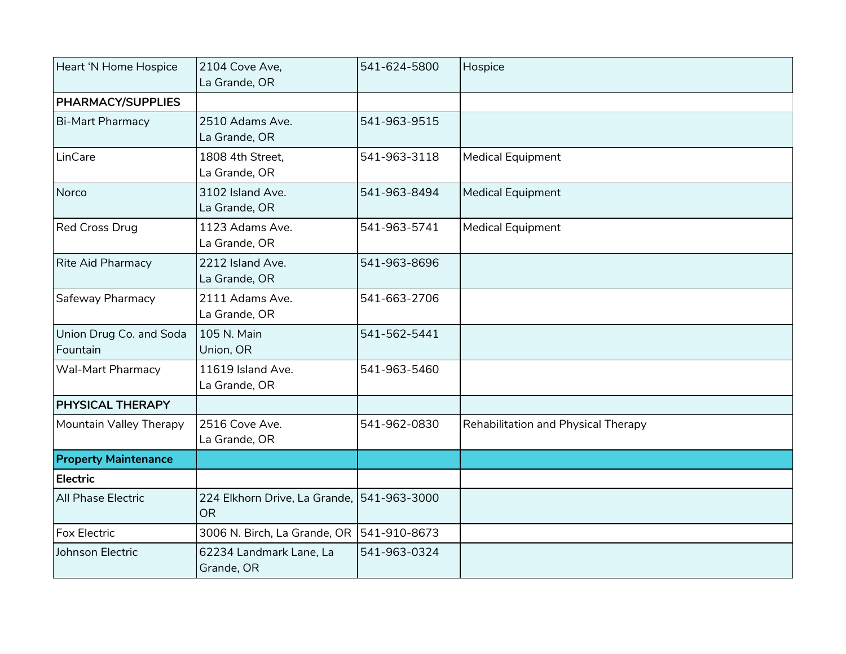| Heart 'N Home Hospice               | 2104 Cove Ave,<br>La Grande, OR                         | 541-624-5800 | Hospice                             |
|-------------------------------------|---------------------------------------------------------|--------------|-------------------------------------|
| <b>PHARMACY/SUPPLIES</b>            |                                                         |              |                                     |
| <b>Bi-Mart Pharmacy</b>             | 2510 Adams Ave.<br>La Grande, OR                        | 541-963-9515 |                                     |
| LinCare                             | 1808 4th Street,<br>La Grande, OR                       | 541-963-3118 | <b>Medical Equipment</b>            |
| Norco                               | 3102 Island Ave.<br>La Grande, OR                       | 541-963-8494 | <b>Medical Equipment</b>            |
| <b>Red Cross Drug</b>               | 1123 Adams Ave.<br>La Grande, OR                        | 541-963-5741 | <b>Medical Equipment</b>            |
| Rite Aid Pharmacy                   | 2212 Island Ave.<br>La Grande, OR                       | 541-963-8696 |                                     |
| Safeway Pharmacy                    | 2111 Adams Ave.<br>La Grande, OR                        | 541-663-2706 |                                     |
| Union Drug Co. and Soda<br>Fountain | 105 N. Main<br>Union, OR                                | 541-562-5441 |                                     |
| <b>Wal-Mart Pharmacy</b>            | 11619 Island Ave.<br>La Grande, OR                      | 541-963-5460 |                                     |
| <b>PHYSICAL THERAPY</b>             |                                                         |              |                                     |
| Mountain Valley Therapy             | 2516 Cove Ave.<br>La Grande, OR                         | 541-962-0830 | Rehabilitation and Physical Therapy |
| <b>Property Maintenance</b>         |                                                         |              |                                     |
| <b>Electric</b>                     |                                                         |              |                                     |
| <b>All Phase Electric</b>           | 224 Elkhorn Drive, La Grande, 541-963-3000<br><b>OR</b> |              |                                     |
| Fox Electric                        | 3006 N. Birch, La Grande, OR                            | 541-910-8673 |                                     |
| Johnson Electric                    | 62234 Landmark Lane, La<br>Grande, OR                   | 541-963-0324 |                                     |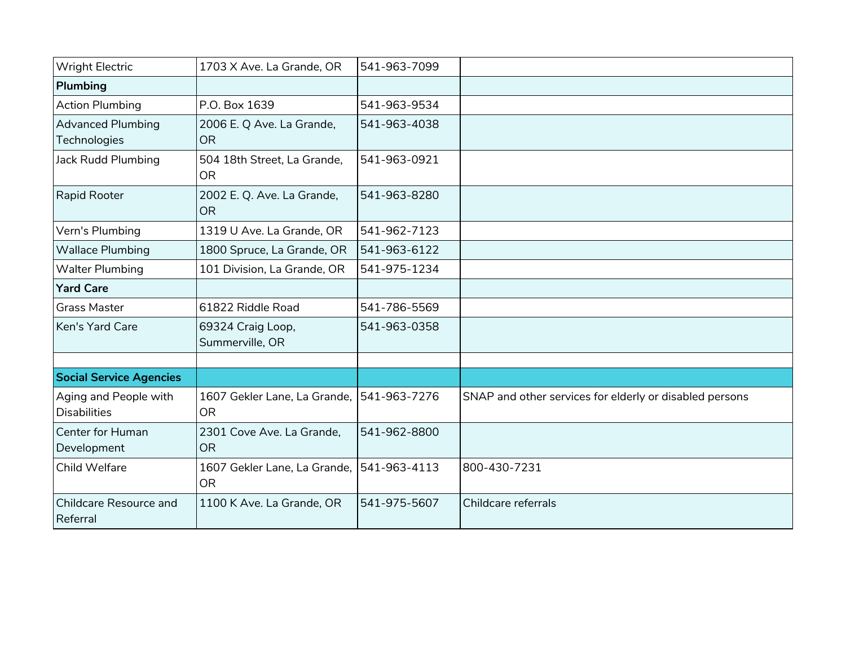| <b>Wright Electric</b>                    | 1703 X Ave. La Grande, OR                              | 541-963-7099 |                                                         |
|-------------------------------------------|--------------------------------------------------------|--------------|---------------------------------------------------------|
| Plumbing                                  |                                                        |              |                                                         |
| <b>Action Plumbing</b>                    | P.O. Box 1639                                          | 541-963-9534 |                                                         |
| <b>Advanced Plumbing</b><br>Technologies  | 2006 E. Q Ave. La Grande,<br><b>OR</b>                 | 541-963-4038 |                                                         |
| Jack Rudd Plumbing                        | 504 18th Street, La Grande,<br><b>OR</b>               | 541-963-0921 |                                                         |
| Rapid Rooter                              | 2002 E. Q. Ave. La Grande,<br><b>OR</b>                | 541-963-8280 |                                                         |
| Vern's Plumbing                           | 1319 U Ave. La Grande, OR                              | 541-962-7123 |                                                         |
| <b>Wallace Plumbing</b>                   | 1800 Spruce, La Grande, OR                             | 541-963-6122 |                                                         |
| <b>Walter Plumbing</b>                    | 101 Division, La Grande, OR                            | 541-975-1234 |                                                         |
| <b>Yard Care</b>                          |                                                        |              |                                                         |
| <b>Grass Master</b>                       | 61822 Riddle Road                                      | 541-786-5569 |                                                         |
| Ken's Yard Care                           | 69324 Craig Loop,<br>Summerville, OR                   | 541-963-0358 |                                                         |
|                                           |                                                        |              |                                                         |
| <b>Social Service Agencies</b>            |                                                        |              |                                                         |
| Aging and People with<br>Disabilities     | 1607 Gekler Lane, La Grande, 541-963-7276<br><b>OR</b> |              | SNAP and other services for elderly or disabled persons |
| Center for Human<br>Development           | 2301 Cove Ave. La Grande,<br><b>OR</b>                 | 541-962-8800 |                                                         |
| Child Welfare                             | 1607 Gekler Lane, La Grande, 541-963-4113<br>OR.       |              | 800-430-7231                                            |
| <b>Childcare Resource and</b><br>Referral | 1100 K Ave. La Grande, OR                              | 541-975-5607 | Childcare referrals                                     |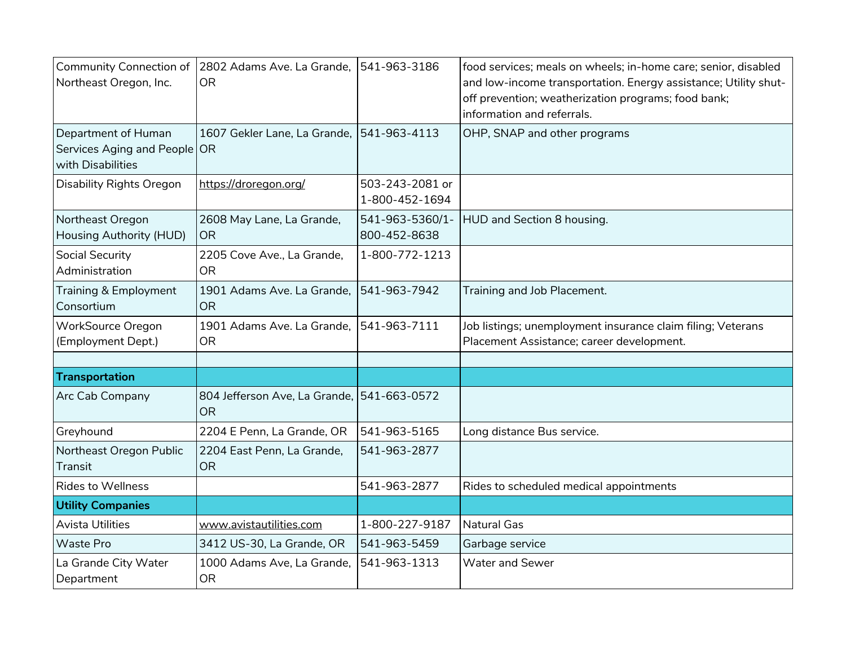| <b>Community Connection of</b><br>Northeast Oregon, Inc.                 | 2802 Adams Ave. La Grande,<br><b>OR</b>                 | 541-963-3186                      | food services; meals on wheels; in-home care; senior, disabled<br>and low-income transportation. Energy assistance; Utility shut-<br>off prevention; weatherization programs; food bank;<br>information and referrals. |
|--------------------------------------------------------------------------|---------------------------------------------------------|-----------------------------------|------------------------------------------------------------------------------------------------------------------------------------------------------------------------------------------------------------------------|
| Department of Human<br>Services Aging and People OR<br>with Disabilities | 1607 Gekler Lane, La Grande,                            | 541-963-4113                      | OHP, SNAP and other programs                                                                                                                                                                                           |
| <b>Disability Rights Oregon</b>                                          | https://droregon.org/                                   | 503-243-2081 or<br>1-800-452-1694 |                                                                                                                                                                                                                        |
| Northeast Oregon<br>Housing Authority (HUD)                              | 2608 May Lane, La Grande,<br><b>OR</b>                  | 541-963-5360/1-<br>800-452-8638   | HUD and Section 8 housing.                                                                                                                                                                                             |
| <b>Social Security</b><br>Administration                                 | 2205 Cove Ave., La Grande,<br><b>OR</b>                 | 1-800-772-1213                    |                                                                                                                                                                                                                        |
| Training & Employment<br>Consortium                                      | 1901 Adams Ave. La Grande,<br><b>OR</b>                 | 541-963-7942                      | Training and Job Placement.                                                                                                                                                                                            |
| <b>WorkSource Oregon</b><br>(Employment Dept.)                           | 1901 Adams Ave. La Grande,<br><b>OR</b>                 | 541-963-7111                      | Job listings; unemployment insurance claim filing; Veterans<br>Placement Assistance; career development.                                                                                                               |
|                                                                          |                                                         |                                   |                                                                                                                                                                                                                        |
| Transportation                                                           |                                                         |                                   |                                                                                                                                                                                                                        |
| <b>Arc Cab Company</b>                                                   | 804 Jefferson Ave, La Grande, 541-663-0572<br><b>OR</b> |                                   |                                                                                                                                                                                                                        |
| Greyhound                                                                | 2204 E Penn, La Grande, OR                              | 541-963-5165                      | Long distance Bus service.                                                                                                                                                                                             |
| Northeast Oregon Public<br>Transit                                       | 2204 East Penn, La Grande,<br><b>OR</b>                 | 541-963-2877                      |                                                                                                                                                                                                                        |
| <b>Rides to Wellness</b>                                                 |                                                         | 541-963-2877                      | Rides to scheduled medical appointments                                                                                                                                                                                |
| <b>Utility Companies</b>                                                 |                                                         |                                   |                                                                                                                                                                                                                        |
| <b>Avista Utilities</b>                                                  | www.avistautilities.com                                 | 1-800-227-9187                    | Natural Gas                                                                                                                                                                                                            |
| <b>Waste Pro</b>                                                         | 3412 US-30, La Grande, OR                               | 541-963-5459                      | Garbage service                                                                                                                                                                                                        |
| La Grande City Water<br>Department                                       | 1000 Adams Ave, La Grande,<br><b>OR</b>                 | 541-963-1313                      | Water and Sewer                                                                                                                                                                                                        |